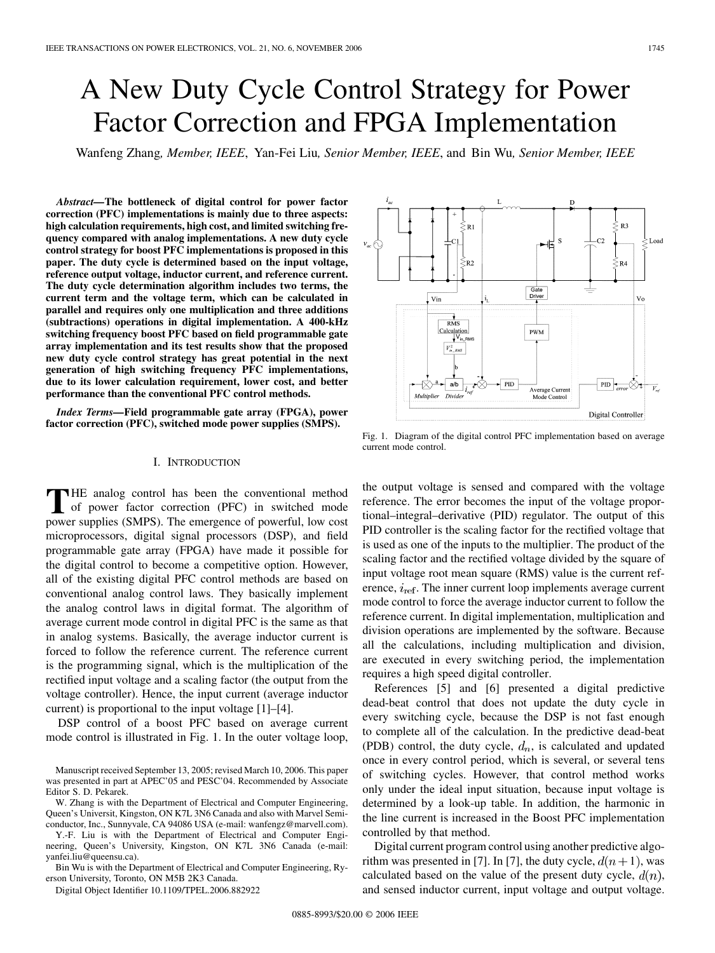# A New Duty Cycle Control Strategy for Power Factor Correction and FPGA Implementation

Wanfeng Zhang*, Member, IEEE*, Yan-Fei Liu*, Senior Member, IEEE*, and Bin Wu*, Senior Member, IEEE*

*Abstract—***The bottleneck of digital control for power factor correction (PFC) implementations is mainly due to three aspects: high calculation requirements, high cost, and limited switching frequency compared with analog implementations. A new duty cycle control strategy for boost PFC implementations is proposed in this paper. The duty cycle is determined based on the input voltage, reference output voltage, inductor current, and reference current. The duty cycle determination algorithm includes two terms, the current term and the voltage term, which can be calculated in parallel and requires only one multiplication and three additions (subtractions) operations in digital implementation. A 400-kHz switching frequency boost PFC based on field programmable gate array implementation and its test results show that the proposed new duty cycle control strategy has great potential in the next generation of high switching frequency PFC implementations, due to its lower calculation requirement, lower cost, and better performance than the conventional PFC control methods.**

*Index Terms—***Field programmable gate array (FPGA), power factor correction (PFC), switched mode power supplies (SMPS).**

# I. INTRODUCTION

**T**HE analog control has been the conventional method of power factor correction (PFC) in switched mode power supplies (SMPS). The emergence of powerful, low cost microprocessors, digital signal processors (DSP), and field programmable gate array (FPGA) have made it possible for the digital control to become a competitive option. However, all of the existing digital PFC control methods are based on conventional analog control laws. They basically implement the analog control laws in digital format. The algorithm of average current mode control in digital PFC is the same as that in analog systems. Basically, the average inductor current is forced to follow the reference current. The reference current is the programming signal, which is the multiplication of the rectified input voltage and a scaling factor (the output from the voltage controller). Hence, the input current (average inductor current) is proportional to the input voltage [1]–[4].

DSP control of a boost PFC based on average current mode control is illustrated in Fig. 1. In the outer voltage loop,

W. Zhang is with the Department of Electrical and Computer Engineering, Queen's Universit, Kingston, ON K7L 3N6 Canada and also with Marvel Semiconductor, Inc., Sunnyvale, CA 94086 USA (e-mail: wanfengz@marvell.com).

Y.-F. Liu is with the Department of Electrical and Computer Engineering, Queen's University, Kingston, ON K7L 3N6 Canada (e-mail: yanfei.liu@queensu.ca).

Bin Wu is with the Department of Electrical and Computer Engineering, Ryerson University, Toronto, ON M5B 2K3 Canada.

Digital Object Identifier 10.1109/TPEL.2006.882922

Digital Controller

Fig. 1. Diagram of the digital control PFC implementation based on average current mode control.

the output voltage is sensed and compared with the voltage reference. The error becomes the input of the voltage proportional–integral–derivative (PID) regulator. The output of this PID controller is the scaling factor for the rectified voltage that is used as one of the inputs to the multiplier. The product of the scaling factor and the rectified voltage divided by the square of input voltage root mean square (RMS) value is the current reference,  $i_{\text{ref}}$ . The inner current loop implements average current mode control to force the average inductor current to follow the reference current. In digital implementation, multiplication and division operations are implemented by the software. Because all the calculations, including multiplication and division, are executed in every switching period, the implementation requires a high speed digital controller.

References [5] and [6] presented a digital predictive dead-beat control that does not update the duty cycle in every switching cycle, because the DSP is not fast enough to complete all of the calculation. In the predictive dead-beat (PDB) control, the duty cycle,  $d_n$ , is calculated and updated once in every control period, which is several, or several tens of switching cycles. However, that control method works only under the ideal input situation, because input voltage is determined by a look-up table. In addition, the harmonic in the line current is increased in the Boost PFC implementation controlled by that method.

Digital current program control using another predictive algorithm was presented in [7]. In [7], the duty cycle,  $d(n + 1)$ , was calculated based on the value of the present duty cycle,  $d(n)$ , and sensed inductor current, input voltage and output voltage.



Manuscript received September 13, 2005; revised March 10, 2006. This paper was presented in part at APEC'05 and PESC'04. Recommended by Associate Editor S. D. Pekarek.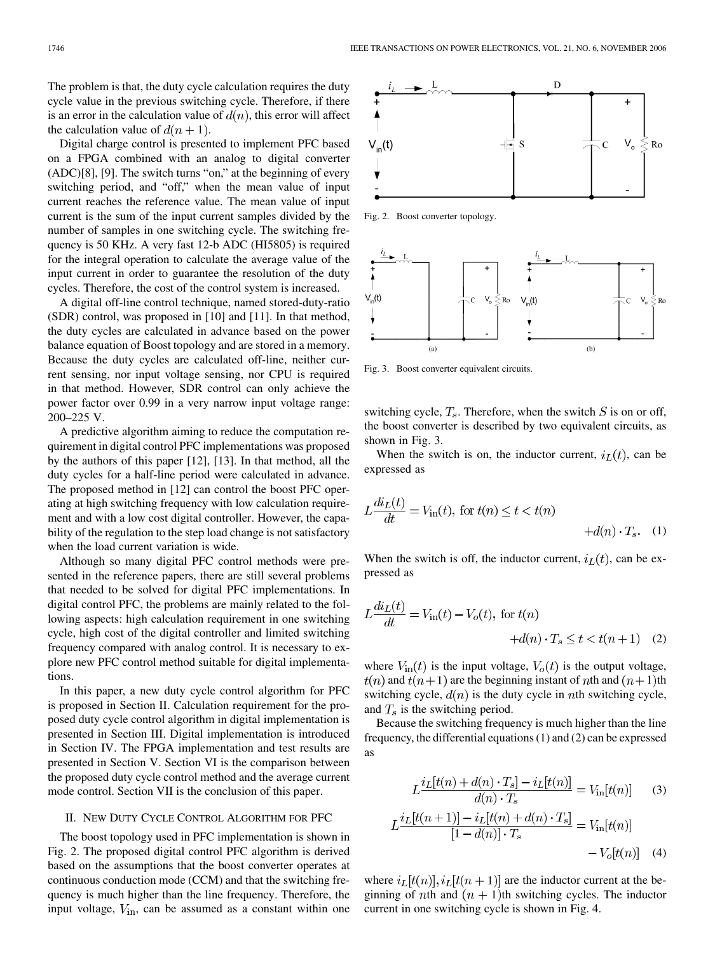The problem is that, the duty cycle calculation requires the duty cycle value in the previous switching cycle. Therefore, if there is an error in the calculation value of  $d(n)$ , this error will affect the calculation value of  $d(n + 1)$ .

Digital charge control is presented to implement PFC based on a FPGA combined with an analog to digital converter (ADC)[8], [9]. The switch turns "on," at the beginning of every switching period, and "off," when the mean value of input current reaches the reference value. The mean value of input current is the sum of the input current samples divided by the number of samples in one switching cycle. The switching frequency is 50 KHz. A very fast 12-b ADC (HI5805) is required for the integral operation to calculate the average value of the input current in order to guarantee the resolution of the duty cycles. Therefore, the cost of the control system is increased.

A digital off-line control technique, named stored-duty-ratio (SDR) control, was proposed in [10] and [11]. In that method, the duty cycles are calculated in advance based on the power balance equation of Boost topology and are stored in a memory. Because the duty cycles are calculated off-line, neither current sensing, nor input voltage sensing, nor CPU is required in that method. However, SDR control can only achieve the power factor over 0.99 in a very narrow input voltage range: 200–225 V.

A predictive algorithm aiming to reduce the computation requirement in digital control PFC implementations was proposed by the authors of this paper [12], [13]. In that method, all the duty cycles for a half-line period were calculated in advance. The proposed method in [12] can control the boost PFC operating at high switching frequency with low calculation requirement and with a low cost digital controller. However, the capability of the regulation to the step load change is not satisfactory when the load current variation is wide.

Although so many digital PFC control methods were presented in the reference papers, there are still several problems that needed to be solved for digital PFC implementations. In digital control PFC, the problems are mainly related to the following aspects: high calculation requirement in one switching cycle, high cost of the digital controller and limited switching frequency compared with analog control. It is necessary to explore new PFC control method suitable for digital implementations.

In this paper, a new duty cycle control algorithm for PFC is proposed in Section II. Calculation requirement for the proposed duty cycle control algorithm in digital implementation is presented in Section III. Digital implementation is introduced in Section IV. The FPGA implementation and test results are presented in Section V. Section VI is the comparison between the proposed duty cycle control method and the average current mode control. Section VII is the conclusion of this paper.

## II. NEW DUTY CYCLE CONTROL ALGORITHM FOR PFC

The boost topology used in PFC implementation is shown in Fig. 2. The proposed digital control PFC algorithm is derived based on the assumptions that the boost converter operates at continuous conduction mode (CCM) and that the switching frequency is much higher than the line frequency. Therefore, the input voltage,  $V_{\text{in}}$ , can be assumed as a constant within one



Fig. 2. Boost converter topology.



Fig. 3. Boost converter equivalent circuits.

switching cycle,  $T_s$ . Therefore, when the switch S is on or off, the boost converter is described by two equivalent circuits, as shown in Fig. 3.

When the switch is on, the inductor current,  $i<sub>L</sub>(t)$ , can be expressed as

$$
L\frac{di_L(t)}{dt} = V_{\text{in}}(t), \text{ for } t(n) \le t < t(n)
$$
  
+ $d(n) \cdot T_s$ . (1)

When the switch is off, the inductor current,  $i_l(t)$ , can be expressed as

$$
L\frac{di_L(t)}{dt} = V_{\text{in}}(t) - V_o(t), \text{ for } t(n)
$$

$$
+d(n) \cdot T_s \le t < t(n+1) \quad (2)
$$

where  $V_{\text{in}}(t)$  is the input voltage,  $V_o(t)$  is the output voltage,  $t(n)$  and  $t(n+1)$  are the beginning instant of nth and  $(n+1)$ th switching cycle,  $d(n)$  is the duty cycle in nth switching cycle, and  $T_s$  is the switching period.

Because the switching frequency is much higher than the line frequency, the differential equations (1) and (2) can be expressed as

$$
L\frac{i_L[t(n) + d(n) \cdot T_s] - i_L[t(n)]}{d(n) \cdot T_s} = V_{\text{in}}[t(n)] \tag{3}
$$

$$
L\frac{i_L[t(n+1)] - i_L[t(n) + d(n) \cdot T_s]}{[1 - d(n)] \cdot T_s} = V_{\text{in}}[t(n)]
$$
  
- 
$$
V_o[t(n)] \quad (4)
$$

where  $i_L[t(n)], i_L[t(n+1)]$  are the inductor current at the beginning of nth and  $(n + 1)$ th switching cycles. The inductor current in one switching cycle is shown in Fig. 4.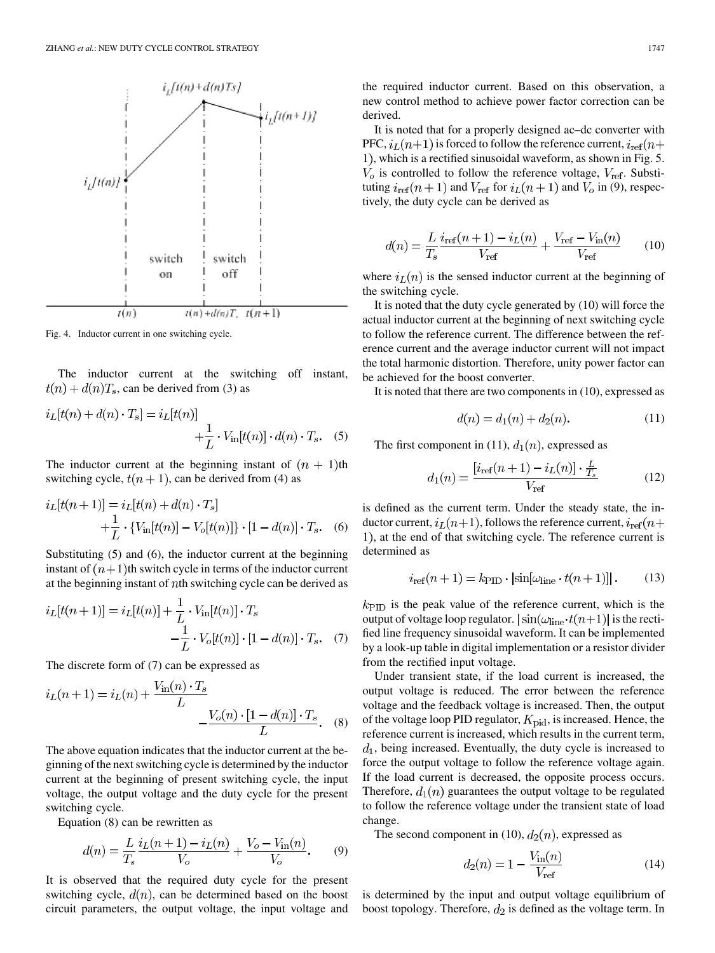

Fig. 4. Inductor current in one switching cycle.

The inductor current at the switching off instant,  $t(n) + d(n)T_s$ , can be derived from (3) as

$$
i_L[t(n) + d(n) \cdot T_s] = i_L[t(n)] + \frac{1}{L} \cdot V_{\text{in}}[t(n)] \cdot d(n) \cdot T_s.
$$
 (5)

The inductor current at the beginning instant of  $(n + 1)$ th switching cycle,  $t(n + 1)$ , can be derived from (4) as

$$
i_L[t(n+1)] = i_L[t(n) + d(n) \cdot T_s]
$$
  
+  $\frac{1}{L} \cdot \{V_{\text{in}}[t(n)] - V_o[t(n)]\} \cdot [1 - d(n)] \cdot T_s.$  (6)

Substituting (5) and (6), the inductor current at the beginning instant of  $(n+1)$ th switch cycle in terms of the inductor current at the beginning instant of  $n$ th switching cycle can be derived as

$$
i_L[t(n+1)] = i_L[t(n)] + \frac{1}{L} \cdot V_{\text{in}}[t(n)] \cdot T_s
$$

$$
-\frac{1}{L} \cdot V_o[t(n)] \cdot [1 - d(n)] \cdot T_s. \quad (7)
$$

The discrete form of (7) can be expressed as

$$
i_L(n+1) = i_L(n) + \frac{V_{\text{in}}(n) \cdot T_s}{L}
$$

$$
- \frac{V_o(n) \cdot [1 - d(n)] \cdot T_s}{L}.
$$
 (8)

The above equation indicates that the inductor current at the beginning of the next switching cycle is determined by the inductor current at the beginning of present switching cycle, the input voltage, the output voltage and the duty cycle for the present switching cycle.

Equation (8) can be rewritten as

$$
d(n) = \frac{L}{T_s} \frac{i_L(n+1) - i_L(n)}{V_o} + \frac{V_o - V_{\text{in}}(n)}{V_o}.
$$
 (9)

It is observed that the required duty cycle for the present switching cycle,  $d(n)$ , can be determined based on the boost circuit parameters, the output voltage, the input voltage and the required inductor current. Based on this observation, a new control method to achieve power factor correction can be derived.

It is noted that for a properly designed ac–dc converter with PFC,  $i_L(n+1)$  is forced to follow the reference current,  $i_{ref}(n+1)$ 1), which is a rectified sinusoidal waveform, as shown in Fig. 5.  $V<sub>o</sub>$  is controlled to follow the reference voltage,  $V<sub>ref</sub>$ . Substituting  $i_{\text{ref}}(n+1)$  and  $V_{\text{ref}}$  for  $i_L(n+1)$  and  $V_o$  in (9), respectively, the duty cycle can be derived as

$$
d(n) = \frac{L}{T_s} \frac{i_{\text{ref}}(n+1) - i_L(n)}{V_{\text{ref}}} + \frac{V_{\text{ref}} - V_{\text{in}}(n)}{V_{\text{ref}}}
$$
(10)

where  $i_L(n)$  is the sensed inductor current at the beginning of the switching cycle.

It is noted that the duty cycle generated by (10) will force the actual inductor current at the beginning of next switching cycle to follow the reference current. The difference between the reference current and the average inductor current will not impact the total harmonic distortion. Therefore, unity power factor can be achieved for the boost converter.

It is noted that there are two components in (10), expressed as

$$
d(n) = d_1(n) + d_2(n). \tag{11}
$$

The first component in (11),  $d_1(n)$ , expressed as

$$
d_1(n) = \frac{\left[i_{\text{ref}}(n+1) - i_L(n)\right] \cdot \frac{L}{T_s}}{V_{\text{ref}}}
$$
(12)

is defined as the current term. Under the steady state, the inductor current,  $i_L(n+1)$ , follows the reference current,  $i_{\text{ref}}(n+1)$ 1), at the end of that switching cycle. The reference current is determined as

$$
i_{\text{ref}}(n+1) = k_{\text{PID}} \cdot |\sin[\omega_{\text{line}} \cdot t(n+1)]|.
$$
 (13)

 $k_{\text{PID}}$  is the peak value of the reference current, which is the output of voltage loop regulator.  $|\sin(\omega_{\text{line}} \cdot t(n+1))|$  is the rectified line frequency sinusoidal waveform. It can be implemented by a look-up table in digital implementation or a resistor divider from the rectified input voltage.

Under transient state, if the load current is increased, the output voltage is reduced. The error between the reference voltage and the feedback voltage is increased. Then, the output of the voltage loop PID regulator,  $K_{\text{pid}}$ , is increased. Hence, the reference current is increased, which results in the current term,  $d_1$ , being increased. Eventually, the duty cycle is increased to force the output voltage to follow the reference voltage again. If the load current is decreased, the opposite process occurs. Therefore,  $d_1(n)$  guarantees the output voltage to be regulated to follow the reference voltage under the transient state of load change.

The second component in (10),  $d_2(n)$ , expressed as

$$
d_2(n) = 1 - \frac{V_{\text{in}}(n)}{V_{\text{ref}}}
$$
 (14)

is determined by the input and output voltage equilibrium of boost topology. Therefore,  $d_2$  is defined as the voltage term. In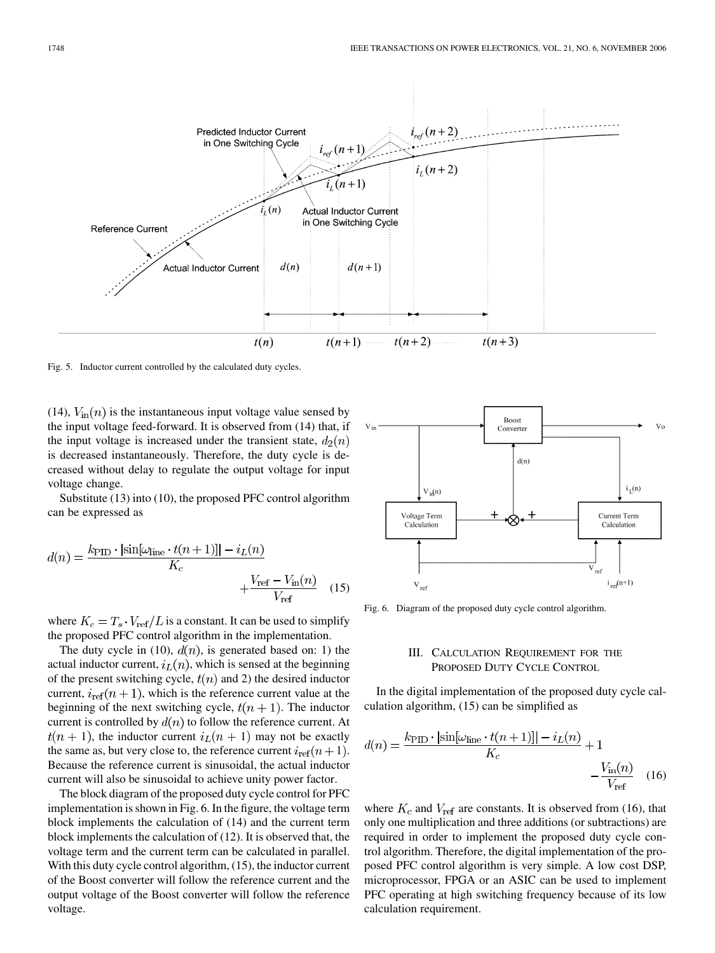

Fig. 5. Inductor current controlled by the calculated duty cycles.

(14),  $V_{\text{in}}(n)$  is the instantaneous input voltage value sensed by the input voltage feed-forward. It is observed from (14) that, if the input voltage is increased under the transient state,  $d_2(n)$ is decreased instantaneously. Therefore, the duty cycle is decreased without delay to regulate the output voltage for input voltage change.

Substitute (13) into (10), the proposed PFC control algorithm can be expressed as

$$
d(n) = \frac{k_{\text{PID}} \cdot |\sin[\omega_{\text{line}} \cdot t(n+1)]| - i_L(n)}{K_c} + \frac{V_{\text{ref}} - V_{\text{in}}(n)}{V_{\text{ref}}}
$$
(15)

where  $K_c = T_s \cdot V_{\text{ref}}/L$  is a constant. It can be used to simplify the proposed PFC control algorithm in the implementation.

The duty cycle in (10),  $d(n)$ , is generated based on: 1) the actual inductor current,  $i_L(n)$ , which is sensed at the beginning of the present switching cycle,  $t(n)$  and 2) the desired inductor current,  $i_{ref}(n+1)$ , which is the reference current value at the beginning of the next switching cycle,  $t(n + 1)$ . The inductor current is controlled by  $d(n)$  to follow the reference current. At  $t(n + 1)$ , the inductor current  $i_l(n + 1)$  may not be exactly the same as, but very close to, the reference current  $i_{ref}(n+1)$ . Because the reference current is sinusoidal, the actual inductor current will also be sinusoidal to achieve unity power factor.

The block diagram of the proposed duty cycle control for PFC implementation is shown in Fig. 6. In the figure, the voltage term block implements the calculation of (14) and the current term block implements the calculation of (12). It is observed that, the voltage term and the current term can be calculated in parallel. With this duty cycle control algorithm, (15), the inductor current of the Boost converter will follow the reference current and the output voltage of the Boost converter will follow the reference voltage.



Fig. 6. Diagram of the proposed duty cycle control algorithm.

# III. CALCULATION REQUIREMENT FOR THE PROPOSED DUTY CYCLE CONTROL

In the digital implementation of the proposed duty cycle calculation algorithm, (15) can be simplified as

$$
d(n) = \frac{k_{\text{PID}} \cdot |\sin[\omega_{\text{line}} \cdot t(n+1)]| - i_L(n)}{K_c} + 1 - \frac{V_{\text{in}}(n)}{V_{\text{ref}}}
$$
(16)

where  $K_c$  and  $V_{ref}$  are constants. It is observed from (16), that only one multiplication and three additions (or subtractions) are required in order to implement the proposed duty cycle control algorithm. Therefore, the digital implementation of the proposed PFC control algorithm is very simple. A low cost DSP, microprocessor, FPGA or an ASIC can be used to implement PFC operating at high switching frequency because of its low calculation requirement.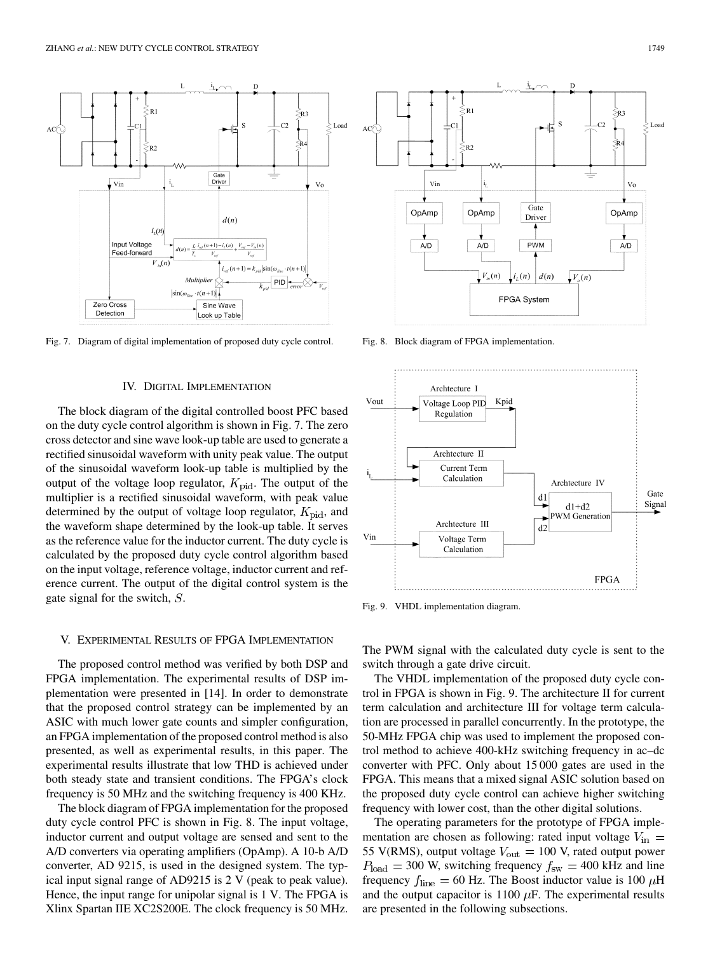

Fig. 7. Diagram of digital implementation of proposed duty cycle control.

#### IV. DIGITAL IMPLEMENTATION

The block diagram of the digital controlled boost PFC based on the duty cycle control algorithm is shown in Fig. 7. The zero cross detector and sine wave look-up table are used to generate a rectified sinusoidal waveform with unity peak value. The output of the sinusoidal waveform look-up table is multiplied by the output of the voltage loop regulator,  $K_{\text{pid}}$ . The output of the multiplier is a rectified sinusoidal waveform, with peak value determined by the output of voltage loop regulator,  $K_{\text{pid}}$ , and the waveform shape determined by the look-up table. It serves as the reference value for the inductor current. The duty cycle is calculated by the proposed duty cycle control algorithm based on the input voltage, reference voltage, inductor current and reference current. The output of the digital control system is the gate signal for the switch,  $S$ .

#### V. EXPERIMENTAL RESULTS OF FPGA IMPLEMENTATION

The proposed control method was verified by both DSP and FPGA implementation. The experimental results of DSP implementation were presented in [14]. In order to demonstrate that the proposed control strategy can be implemented by an ASIC with much lower gate counts and simpler configuration, an FPGA implementation of the proposed control method is also presented, as well as experimental results, in this paper. The experimental results illustrate that low THD is achieved under both steady state and transient conditions. The FPGA's clock frequency is 50 MHz and the switching frequency is 400 KHz.

The block diagram of FPGA implementation for the proposed duty cycle control PFC is shown in Fig. 8. The input voltage, inductor current and output voltage are sensed and sent to the A/D converters via operating amplifiers (OpAmp). A 10-b A/D converter, AD 9215, is used in the designed system. The typical input signal range of AD9215 is 2 V (peak to peak value). Hence, the input range for unipolar signal is 1 V. The FPGA is Xlinx Spartan IIE XC2S200E. The clock frequency is 50 MHz.



Fig. 8. Block diagram of FPGA implementation.



Fig. 9. VHDL implementation diagram.

The PWM signal with the calculated duty cycle is sent to the switch through a gate drive circuit.

The VHDL implementation of the proposed duty cycle control in FPGA is shown in Fig. 9. The architecture II for current term calculation and architecture III for voltage term calculation are processed in parallel concurrently. In the prototype, the 50-MHz FPGA chip was used to implement the proposed control method to achieve 400-kHz switching frequency in ac–dc converter with PFC. Only about 15 000 gates are used in the FPGA. This means that a mixed signal ASIC solution based on the proposed duty cycle control can achieve higher switching frequency with lower cost, than the other digital solutions.

The operating parameters for the prototype of FPGA implementation are chosen as following: rated input voltage  $V_{\text{in}} =$ 55 V(RMS), output voltage  $V_{\text{out}} = 100$  V, rated output power  $P_{\text{load}} = 300$  W, switching frequency  $f_{\text{sw}} = 400$  kHz and line frequency  $f_{\text{line}} = 60$  Hz. The Boost inductor value is 100  $\mu$ H and the output capacitor is 1100  $\mu$ F. The experimental results are presented in the following subsections.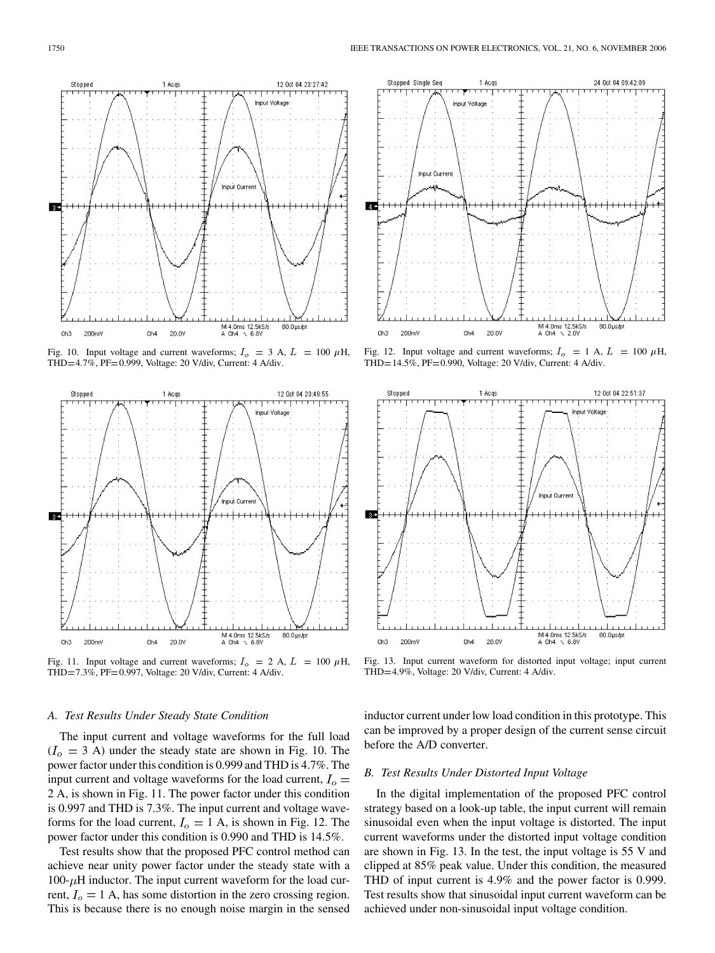

Fig. 10. Input voltage and current waveforms;  $I_o = 3$  A,  $L = 100 \mu$ H, THD=4.7%, PF=0.999, Voltage: 20 V/div, Current: 4 A/div.



Fig. 11. Input voltage and current waveforms;  $I_o = 2$  A,  $L = 100 \mu$ H, THD=7.3%, PF=0.997, Voltage: 20 V/div, Current: 4 A/div.

## *A. Test Results Under Steady State Condition*

The input current and voltage waveforms for the full load  $(I<sub>o</sub> = 3 A)$  under the steady state are shown in Fig. 10. The power factor under this condition is 0.999 and THD is 4.7%. The input current and voltage waveforms for the load current,  $I_0 =$ 2 A, is shown in Fig. 11. The power factor under this condition is 0.997 and THD is 7.3%. The input current and voltage waveforms for the load current,  $I_0 = 1$  A, is shown in Fig. 12. The power factor under this condition is 0.990 and THD is 14.5%.

Test results show that the proposed PFC control method can achieve near unity power factor under the steady state with a 100- $\mu$ H inductor. The input current waveform for the load current,  $I_0 = 1$  A, has some distortion in the zero crossing region. This is because there is no enough noise margin in the sensed



Fig. 12. Input voltage and current waveforms;  $I_o = 1$  A,  $L = 100 \mu$ H, THD=14.5%, PF=0.990, Voltage: 20 V/div, Current: 4 A/div.



Fig. 13. Input current waveform for distorted input voltage; input current THD=4.9%, Voltage: 20 V/div, Current: 4 A/div.

inductor current under low load condition in this prototype. This can be improved by a proper design of the current sense circuit before the A/D converter.

## *B. Test Results Under Distorted Input Voltage*

In the digital implementation of the proposed PFC control strategy based on a look-up table, the input current will remain sinusoidal even when the input voltage is distorted. The input current waveforms under the distorted input voltage condition are shown in Fig. 13. In the test, the input voltage is 55 V and clipped at 85% peak value. Under this condition, the measured THD of input current is 4.9% and the power factor is 0.999. Test results show that sinusoidal input current waveform can be achieved under non-sinusoidal input voltage condition.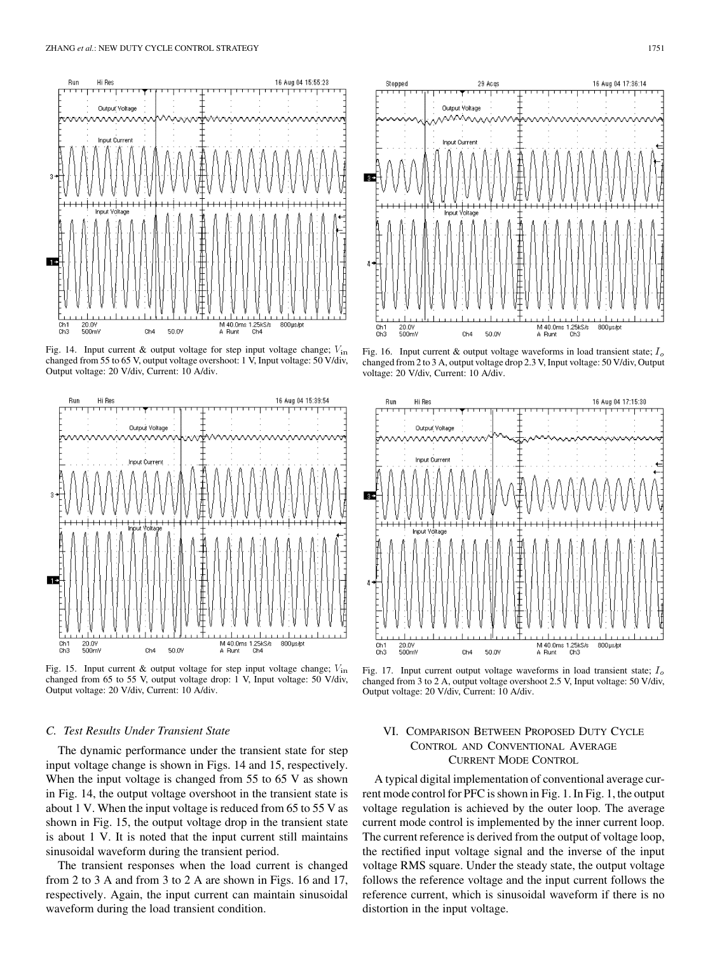

Fig. 14. Input current & output voltage for step input voltage change;  $V_{\text{in}}$ changed from 55 to 65 V, output voltage overshoot: 1 V, Input voltage: 50 V/div, Output voltage: 20 V/div, Current: 10 A/div.



Fig. 15. Input current & output voltage for step input voltage change;  $V_{\text{in}}$ changed from 65 to 55 V, output voltage drop: 1 V, Input voltage: 50 V/div, Output voltage: 20 V/div, Current: 10 A/div.

## *C. Test Results Under Transient State*

The dynamic performance under the transient state for step input voltage change is shown in Figs. 14 and 15, respectively. When the input voltage is changed from 55 to 65 V as shown in Fig. 14, the output voltage overshoot in the transient state is about 1 V. When the input voltage is reduced from 65 to 55 V as shown in Fig. 15, the output voltage drop in the transient state is about 1 V. It is noted that the input current still maintains sinusoidal waveform during the transient period.

The transient responses when the load current is changed from 2 to 3 A and from 3 to 2 A are shown in Figs. 16 and 17, respectively. Again, the input current can maintain sinusoidal waveform during the load transient condition.



Fig. 16. Input current & output voltage waveforms in load transient state;  $I_0$ changed from 2 to 3 A, output voltage drop 2.3 V, Input voltage: 50 V/div, Output voltage: 20 V/div, Current: 10 A/div.



Fig. 17. Input current output voltage waveforms in load transient state;  $I<sub>o</sub>$ changed from 3 to 2 A, output voltage overshoot 2.5 V, Input voltage: 50 V/div, Output voltage: 20 V/div, Current: 10 A/div.

# VI. COMPARISON BETWEEN PROPOSED DUTY CYCLE CONTROL AND CONVENTIONAL AVERAGE CURRENT MODE CONTROL

A typical digital implementation of conventional average current mode control for PFC is shown in Fig. 1. In Fig. 1, the output voltage regulation is achieved by the outer loop. The average current mode control is implemented by the inner current loop. The current reference is derived from the output of voltage loop, the rectified input voltage signal and the inverse of the input voltage RMS square. Under the steady state, the output voltage follows the reference voltage and the input current follows the reference current, which is sinusoidal waveform if there is no distortion in the input voltage.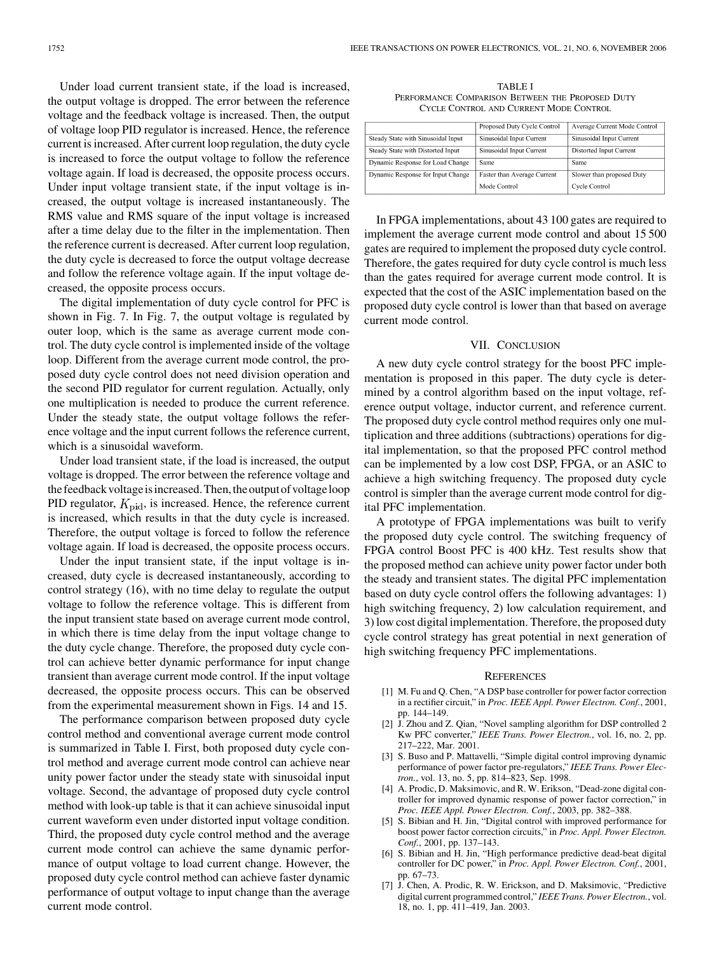Under load current transient state, if the load is increased, the output voltage is dropped. The error between the reference voltage and the feedback voltage is increased. Then, the output of voltage loop PID regulator is increased. Hence, the reference current is increased. After current loop regulation, the duty cycle is increased to force the output voltage to follow the reference voltage again. If load is decreased, the opposite process occurs. Under input voltage transient state, if the input voltage is increased, the output voltage is increased instantaneously. The RMS value and RMS square of the input voltage is increased after a time delay due to the filter in the implementation. Then the reference current is decreased. After current loop regulation, the duty cycle is decreased to force the output voltage decrease and follow the reference voltage again. If the input voltage decreased, the opposite process occurs.

The digital implementation of duty cycle control for PFC is shown in Fig. 7. In Fig. 7, the output voltage is regulated by outer loop, which is the same as average current mode control. The duty cycle control is implemented inside of the voltage loop. Different from the average current mode control, the proposed duty cycle control does not need division operation and the second PID regulator for current regulation. Actually, only one multiplication is needed to produce the current reference. Under the steady state, the output voltage follows the reference voltage and the input current follows the reference current, which is a sinusoidal waveform.

Under load transient state, if the load is increased, the output voltage is dropped. The error between the reference voltage and the feedback voltage is increased. Then, the output of voltage loop PID regulator,  $K_{\text{pid}}$ , is increased. Hence, the reference current is increased, which results in that the duty cycle is increased. Therefore, the output voltage is forced to follow the reference voltage again. If load is decreased, the opposite process occurs.

Under the input transient state, if the input voltage is increased, duty cycle is decreased instantaneously, according to control strategy (16), with no time delay to regulate the output voltage to follow the reference voltage. This is different from the input transient state based on average current mode control, in which there is time delay from the input voltage change to the duty cycle change. Therefore, the proposed duty cycle control can achieve better dynamic performance for input change transient than average current mode control. If the input voltage decreased, the opposite process occurs. This can be observed from the experimental measurement shown in Figs. 14 and 15.

The performance comparison between proposed duty cycle control method and conventional average current mode control is summarized in Table I. First, both proposed duty cycle control method and average current mode control can achieve near unity power factor under the steady state with sinusoidal input voltage. Second, the advantage of proposed duty cycle control method with look-up table is that it can achieve sinusoidal input current waveform even under distorted input voltage condition. Third, the proposed duty cycle control method and the average current mode control can achieve the same dynamic performance of output voltage to load current change. However, the proposed duty cycle control method can achieve faster dynamic performance of output voltage to input change than the average current mode control.

TABLE I PERFORMANCE COMPARISON BETWEEN THE PROPOSED DUTY CYCLE CONTROL AND CURRENT MODE CONTROL

|                                    | Proposed Duty Cycle Control | Average Current Mode Control |
|------------------------------------|-----------------------------|------------------------------|
| Steady State with Sinusoidal Input | Sinusoidal Input Current    | Sinusoidal Input Current     |
| Steady State with Distorted Input  | Sinusoidal Input Current    | Distorted Input Current      |
| Dynamic Response for Load Change   | Same                        | Same                         |
| Dynamic Response for Input Change  | Faster than Average Current | Slower than proposed Duty    |
|                                    | Mode Control                | Cycle Control                |

In FPGA implementations, about 43 100 gates are required to implement the average current mode control and about 15 500 gates are required to implement the proposed duty cycle control. Therefore, the gates required for duty cycle control is much less than the gates required for average current mode control. It is expected that the cost of the ASIC implementation based on the proposed duty cycle control is lower than that based on average current mode control.

#### VII. CONCLUSION

A new duty cycle control strategy for the boost PFC implementation is proposed in this paper. The duty cycle is determined by a control algorithm based on the input voltage, reference output voltage, inductor current, and reference current. The proposed duty cycle control method requires only one multiplication and three additions (subtractions) operations for digital implementation, so that the proposed PFC control method can be implemented by a low cost DSP, FPGA, or an ASIC to achieve a high switching frequency. The proposed duty cycle control is simpler than the average current mode control for digital PFC implementation.

A prototype of FPGA implementations was built to verify the proposed duty cycle control. The switching frequency of FPGA control Boost PFC is 400 kHz. Test results show that the proposed method can achieve unity power factor under both the steady and transient states. The digital PFC implementation based on duty cycle control offers the following advantages: 1) high switching frequency, 2) low calculation requirement, and 3) low cost digital implementation. Therefore, the proposed duty cycle control strategy has great potential in next generation of high switching frequency PFC implementations.

#### **REFERENCES**

- [1] M. Fu and Q. Chen, "A DSP base controller for power factor correction in a rectifier circuit," in *Proc. IEEE Appl. Power Electron. Conf.*, 2001, pp. 144–149.
- [2] J. Zhou and Z. Qian, "Novel sampling algorithm for DSP controlled 2 Kw PFC converter," *IEEE Trans. Power Electron.*, vol. 16, no. 2, pp. 217–222, Mar. 2001.
- [3] S. Buso and P. Mattavelli, "Simple digital control improving dynamic performance of power factor pre-regulators," *IEEE Trans. Power Electron.*, vol. 13, no. 5, pp. 814–823, Sep. 1998.
- [4] A. Prodic, D. Maksimovic, and R. W. Erikson, "Dead-zone digital controller for improved dynamic response of power factor correction," in *Proc. IEEE Appl. Power Electron. Conf.*, 2003, pp. 382–388.
- [5] S. Bibian and H. Jin, "Digital control with improved performance for boost power factor correction circuits," in *Proc. Appl. Power Electron. Conf.*, 2001, pp. 137–143.
- [6] S. Bibian and H. Jin, "High performance predictive dead-beat digital controller for DC power," in *Proc. Appl. Power Electron. Conf.*, 2001, pp. 67–73.
- [7] J. Chen, A. Prodic, R. W. Erickson, and D. Maksimovic, "Predictive digital current programmed control," *IEEE Trans. Power Electron.*, vol. 18, no. 1, pp. 411–419, Jan. 2003.